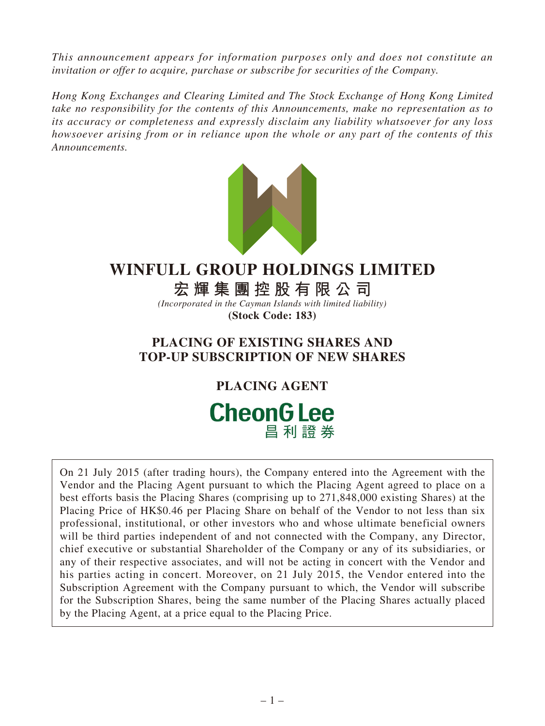*This announcement appears for information purposes only and does not constitute an invitation or offer to acquire, purchase or subscribe for securities of the Company.*

*Hong Kong Exchanges and Clearing Limited and The Stock Exchange of Hong Kong Limited take no responsibility for the contents of this Announcements, make no representation as to its accuracy or completeness and expressly disclaim any liability whatsoever for any loss howsoever arising from or in reliance upon the whole or any part of the contents of this Announcements.*



## **WINFULL GROUP HOLDINGS LIMITED**

**宏輝集團控股有限公司**

*(Incorporated in the Cayman Islands with limited liability)* **(Stock Code: 183)**

## **PLACING OF EXISTING SHARES AND TOP-UP SUBSCRIPTION OF NEW SHARES**

**PLACING AGENT**

# **CheonG Lee** 昌利證券

On 21 July 2015 (after trading hours), the Company entered into the Agreement with the Vendor and the Placing Agent pursuant to which the Placing Agent agreed to place on a best efforts basis the Placing Shares (comprising up to 271,848,000 existing Shares) at the Placing Price of HK\$0.46 per Placing Share on behalf of the Vendor to not less than six professional, institutional, or other investors who and whose ultimate beneficial owners will be third parties independent of and not connected with the Company, any Director, chief executive or substantial Shareholder of the Company or any of its subsidiaries, or any of their respective associates, and will not be acting in concert with the Vendor and his parties acting in concert. Moreover, on 21 July 2015, the Vendor entered into the Subscription Agreement with the Company pursuant to which, the Vendor will subscribe for the Subscription Shares, being the same number of the Placing Shares actually placed by the Placing Agent, at a price equal to the Placing Price.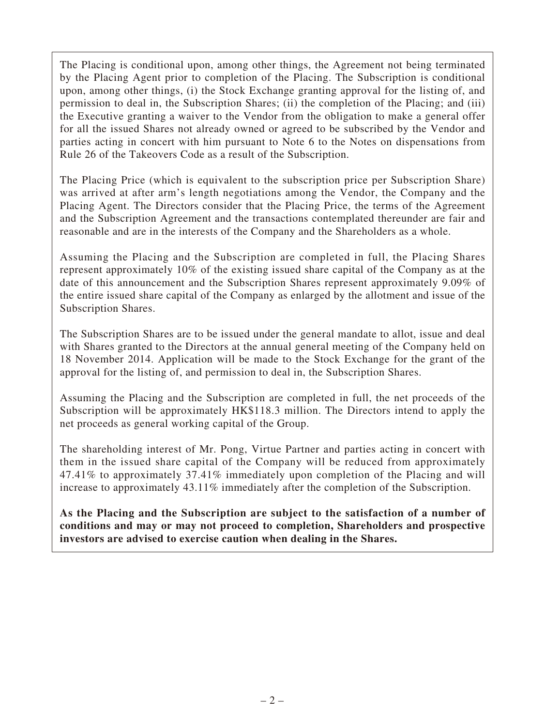The Placing is conditional upon, among other things, the Agreement not being terminated by the Placing Agent prior to completion of the Placing. The Subscription is conditional upon, among other things, (i) the Stock Exchange granting approval for the listing of, and permission to deal in, the Subscription Shares; (ii) the completion of the Placing; and (iii) the Executive granting a waiver to the Vendor from the obligation to make a general offer for all the issued Shares not already owned or agreed to be subscribed by the Vendor and parties acting in concert with him pursuant to Note 6 to the Notes on dispensations from Rule 26 of the Takeovers Code as a result of the Subscription.

The Placing Price (which is equivalent to the subscription price per Subscription Share) was arrived at after arm's length negotiations among the Vendor, the Company and the Placing Agent. The Directors consider that the Placing Price, the terms of the Agreement and the Subscription Agreement and the transactions contemplated thereunder are fair and reasonable and are in the interests of the Company and the Shareholders as a whole.

Assuming the Placing and the Subscription are completed in full, the Placing Shares represent approximately 10% of the existing issued share capital of the Company as at the date of this announcement and the Subscription Shares represent approximately 9.09% of the entire issued share capital of the Company as enlarged by the allotment and issue of the Subscription Shares.

The Subscription Shares are to be issued under the general mandate to allot, issue and deal with Shares granted to the Directors at the annual general meeting of the Company held on 18 November 2014. Application will be made to the Stock Exchange for the grant of the approval for the listing of, and permission to deal in, the Subscription Shares.

Assuming the Placing and the Subscription are completed in full, the net proceeds of the Subscription will be approximately HK\$118.3 million. The Directors intend to apply the net proceeds as general working capital of the Group.

The shareholding interest of Mr. Pong, Virtue Partner and parties acting in concert with them in the issued share capital of the Company will be reduced from approximately 47.41% to approximately 37.41% immediately upon completion of the Placing and will increase to approximately 43.11% immediately after the completion of the Subscription.

**As the Placing and the Subscription are subject to the satisfaction of a number of conditions and may or may not proceed to completion, Shareholders and prospective investors are advised to exercise caution when dealing in the Shares.**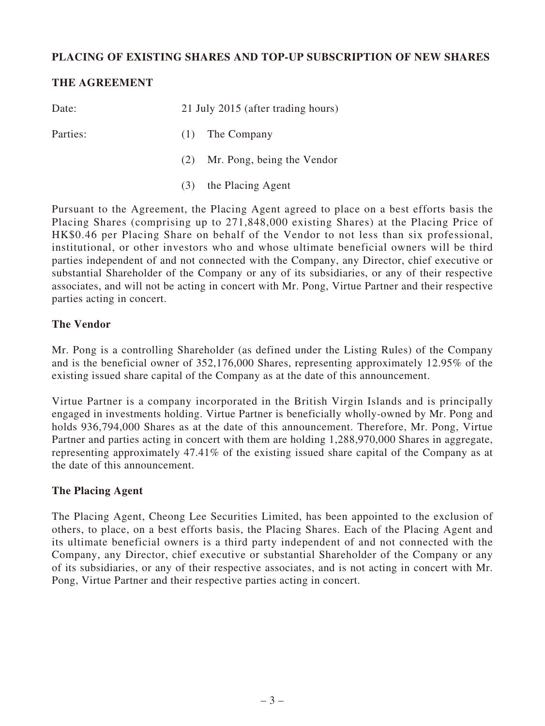## **PLACING OF EXISTING SHARES AND TOP-UP SUBSCRIPTION OF NEW SHARES**

## **THE AGREEMENT**

| Date:    | 21 July 2015 (after trading hours) |                                |  |
|----------|------------------------------------|--------------------------------|--|
| Parties: |                                    | $(1)$ The Company              |  |
|          |                                    | (2) Mr. Pong, being the Vendor |  |
|          |                                    | (3) the Placing Agent          |  |

Pursuant to the Agreement, the Placing Agent agreed to place on a best efforts basis the Placing Shares (comprising up to 271,848,000 existing Shares) at the Placing Price of HK\$0.46 per Placing Share on behalf of the Vendor to not less than six professional, institutional, or other investors who and whose ultimate beneficial owners will be third parties independent of and not connected with the Company, any Director, chief executive or substantial Shareholder of the Company or any of its subsidiaries, or any of their respective associates, and will not be acting in concert with Mr. Pong, Virtue Partner and their respective parties acting in concert.

#### **The Vendor**

Mr. Pong is a controlling Shareholder (as defined under the Listing Rules) of the Company and is the beneficial owner of 352,176,000 Shares, representing approximately 12.95% of the existing issued share capital of the Company as at the date of this announcement.

Virtue Partner is a company incorporated in the British Virgin Islands and is principally engaged in investments holding. Virtue Partner is beneficially wholly-owned by Mr. Pong and holds 936,794,000 Shares as at the date of this announcement. Therefore, Mr. Pong, Virtue Partner and parties acting in concert with them are holding 1,288,970,000 Shares in aggregate, representing approximately 47.41% of the existing issued share capital of the Company as at the date of this announcement.

## **The Placing Agent**

The Placing Agent, Cheong Lee Securities Limited, has been appointed to the exclusion of others, to place, on a best efforts basis, the Placing Shares. Each of the Placing Agent and its ultimate beneficial owners is a third party independent of and not connected with the Company, any Director, chief executive or substantial Shareholder of the Company or any of its subsidiaries, or any of their respective associates, and is not acting in concert with Mr. Pong, Virtue Partner and their respective parties acting in concert.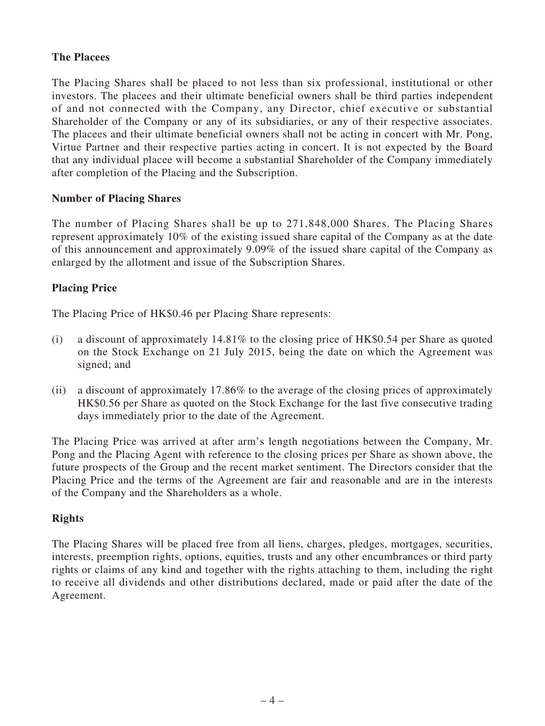## **The Placees**

The Placing Shares shall be placed to not less than six professional, institutional or other investors. The placees and their ultimate beneficial owners shall be third parties independent of and not connected with the Company, any Director, chief executive or substantial Shareholder of the Company or any of its subsidiaries, or any of their respective associates. The placees and their ultimate beneficial owners shall not be acting in concert with Mr. Pong, Virtue Partner and their respective parties acting in concert. It is not expected by the Board that any individual placee will become a substantial Shareholder of the Company immediately after completion of the Placing and the Subscription.

## **Number of Placing Shares**

The number of Placing Shares shall be up to 271,848,000 Shares. The Placing Shares represent approximately 10% of the existing issued share capital of the Company as at the date of this announcement and approximately 9.09% of the issued share capital of the Company as enlarged by the allotment and issue of the Subscription Shares.

## **Placing Price**

The Placing Price of HK\$0.46 per Placing Share represents:

- (i) a discount of approximately 14.81% to the closing price of HK\$0.54 per Share as quoted on the Stock Exchange on 21 July 2015, being the date on which the Agreement was signed; and
- (ii) a discount of approximately 17.86% to the average of the closing prices of approximately HK\$0.56 per Share as quoted on the Stock Exchange for the last five consecutive trading days immediately prior to the date of the Agreement.

The Placing Price was arrived at after arm's length negotiations between the Company, Mr. Pong and the Placing Agent with reference to the closing prices per Share as shown above, the future prospects of the Group and the recent market sentiment. The Directors consider that the Placing Price and the terms of the Agreement are fair and reasonable and are in the interests of the Company and the Shareholders as a whole.

## **Rights**

The Placing Shares will be placed free from all liens, charges, pledges, mortgages, securities, interests, preemption rights, options, equities, trusts and any other encumbrances or third party rights or claims of any kind and together with the rights attaching to them, including the right to receive all dividends and other distributions declared, made or paid after the date of the Agreement.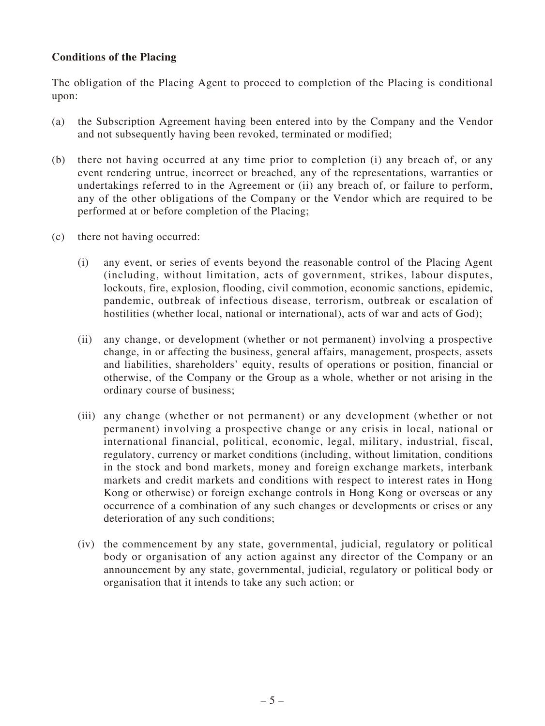## **Conditions of the Placing**

The obligation of the Placing Agent to proceed to completion of the Placing is conditional upon:

- (a) the Subscription Agreement having been entered into by the Company and the Vendor and not subsequently having been revoked, terminated or modified;
- (b) there not having occurred at any time prior to completion (i) any breach of, or any event rendering untrue, incorrect or breached, any of the representations, warranties or undertakings referred to in the Agreement or (ii) any breach of, or failure to perform, any of the other obligations of the Company or the Vendor which are required to be performed at or before completion of the Placing;
- (c) there not having occurred:
	- (i) any event, or series of events beyond the reasonable control of the Placing Agent (including, without limitation, acts of government, strikes, labour disputes, lockouts, fire, explosion, flooding, civil commotion, economic sanctions, epidemic, pandemic, outbreak of infectious disease, terrorism, outbreak or escalation of hostilities (whether local, national or international), acts of war and acts of God);
	- (ii) any change, or development (whether or not permanent) involving a prospective change, in or affecting the business, general affairs, management, prospects, assets and liabilities, shareholders' equity, results of operations or position, financial or otherwise, of the Company or the Group as a whole, whether or not arising in the ordinary course of business;
	- (iii) any change (whether or not permanent) or any development (whether or not permanent) involving a prospective change or any crisis in local, national or international financial, political, economic, legal, military, industrial, fiscal, regulatory, currency or market conditions (including, without limitation, conditions in the stock and bond markets, money and foreign exchange markets, interbank markets and credit markets and conditions with respect to interest rates in Hong Kong or otherwise) or foreign exchange controls in Hong Kong or overseas or any occurrence of a combination of any such changes or developments or crises or any deterioration of any such conditions;
	- (iv) the commencement by any state, governmental, judicial, regulatory or political body or organisation of any action against any director of the Company or an announcement by any state, governmental, judicial, regulatory or political body or organisation that it intends to take any such action; or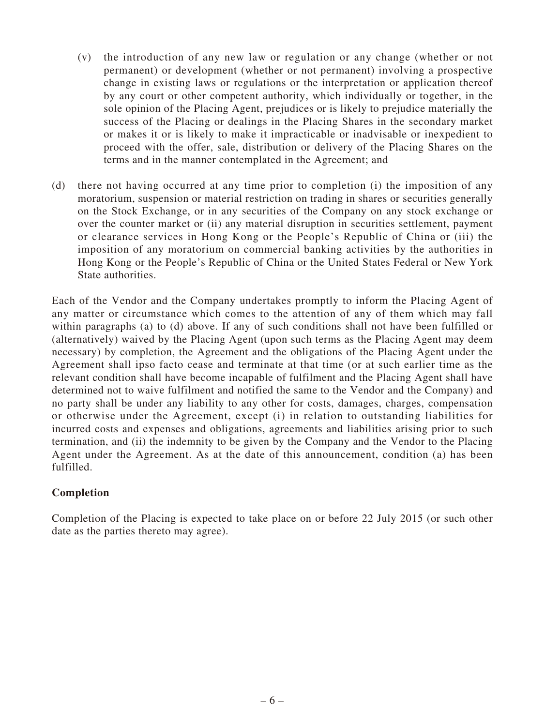- (v) the introduction of any new law or regulation or any change (whether or not permanent) or development (whether or not permanent) involving a prospective change in existing laws or regulations or the interpretation or application thereof by any court or other competent authority, which individually or together, in the sole opinion of the Placing Agent, prejudices or is likely to prejudice materially the success of the Placing or dealings in the Placing Shares in the secondary market or makes it or is likely to make it impracticable or inadvisable or inexpedient to proceed with the offer, sale, distribution or delivery of the Placing Shares on the terms and in the manner contemplated in the Agreement; and
- (d) there not having occurred at any time prior to completion (i) the imposition of any moratorium, suspension or material restriction on trading in shares or securities generally on the Stock Exchange, or in any securities of the Company on any stock exchange or over the counter market or (ii) any material disruption in securities settlement, payment or clearance services in Hong Kong or the People's Republic of China or (iii) the imposition of any moratorium on commercial banking activities by the authorities in Hong Kong or the People's Republic of China or the United States Federal or New York State authorities.

Each of the Vendor and the Company undertakes promptly to inform the Placing Agent of any matter or circumstance which comes to the attention of any of them which may fall within paragraphs (a) to (d) above. If any of such conditions shall not have been fulfilled or (alternatively) waived by the Placing Agent (upon such terms as the Placing Agent may deem necessary) by completion, the Agreement and the obligations of the Placing Agent under the Agreement shall ipso facto cease and terminate at that time (or at such earlier time as the relevant condition shall have become incapable of fulfilment and the Placing Agent shall have determined not to waive fulfilment and notified the same to the Vendor and the Company) and no party shall be under any liability to any other for costs, damages, charges, compensation or otherwise under the Agreement, except (i) in relation to outstanding liabilities for incurred costs and expenses and obligations, agreements and liabilities arising prior to such termination, and (ii) the indemnity to be given by the Company and the Vendor to the Placing Agent under the Agreement. As at the date of this announcement, condition (a) has been fulfilled.

## **Completion**

Completion of the Placing is expected to take place on or before 22 July 2015 (or such other date as the parties thereto may agree).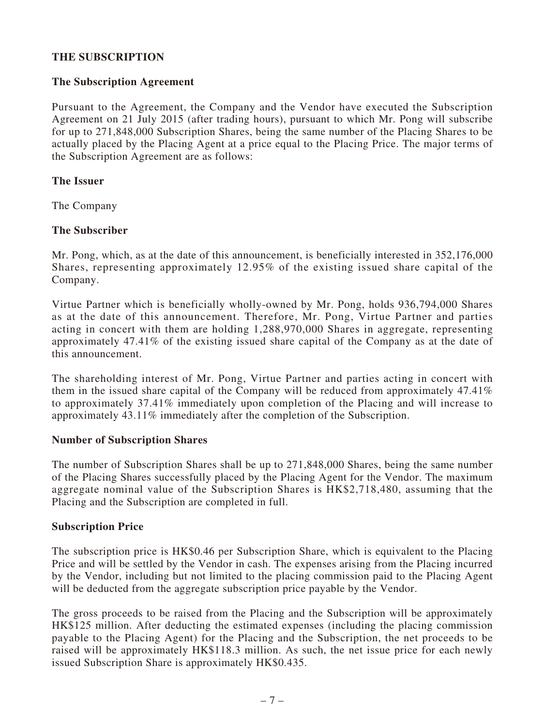## **THE SUBSCRIPTION**

#### **The Subscription Agreement**

Pursuant to the Agreement, the Company and the Vendor have executed the Subscription Agreement on 21 July 2015 (after trading hours), pursuant to which Mr. Pong will subscribe for up to 271,848,000 Subscription Shares, being the same number of the Placing Shares to be actually placed by the Placing Agent at a price equal to the Placing Price. The major terms of the Subscription Agreement are as follows:

#### **The Issuer**

The Company

#### **The Subscriber**

Mr. Pong, which, as at the date of this announcement, is beneficially interested in 352,176,000 Shares, representing approximately 12.95% of the existing issued share capital of the Company.

Virtue Partner which is beneficially wholly-owned by Mr. Pong, holds 936,794,000 Shares as at the date of this announcement. Therefore, Mr. Pong, Virtue Partner and parties acting in concert with them are holding 1,288,970,000 Shares in aggregate, representing approximately 47.41% of the existing issued share capital of the Company as at the date of this announcement.

The shareholding interest of Mr. Pong, Virtue Partner and parties acting in concert with them in the issued share capital of the Company will be reduced from approximately 47.41% to approximately 37.41% immediately upon completion of the Placing and will increase to approximately 43.11% immediately after the completion of the Subscription.

#### **Number of Subscription Shares**

The number of Subscription Shares shall be up to 271,848,000 Shares, being the same number of the Placing Shares successfully placed by the Placing Agent for the Vendor. The maximum aggregate nominal value of the Subscription Shares is HK\$2,718,480, assuming that the Placing and the Subscription are completed in full.

#### **Subscription Price**

The subscription price is HK\$0.46 per Subscription Share, which is equivalent to the Placing Price and will be settled by the Vendor in cash. The expenses arising from the Placing incurred by the Vendor, including but not limited to the placing commission paid to the Placing Agent will be deducted from the aggregate subscription price payable by the Vendor.

The gross proceeds to be raised from the Placing and the Subscription will be approximately HK\$125 million. After deducting the estimated expenses (including the placing commission payable to the Placing Agent) for the Placing and the Subscription, the net proceeds to be raised will be approximately HK\$118.3 million. As such, the net issue price for each newly issued Subscription Share is approximately HK\$0.435.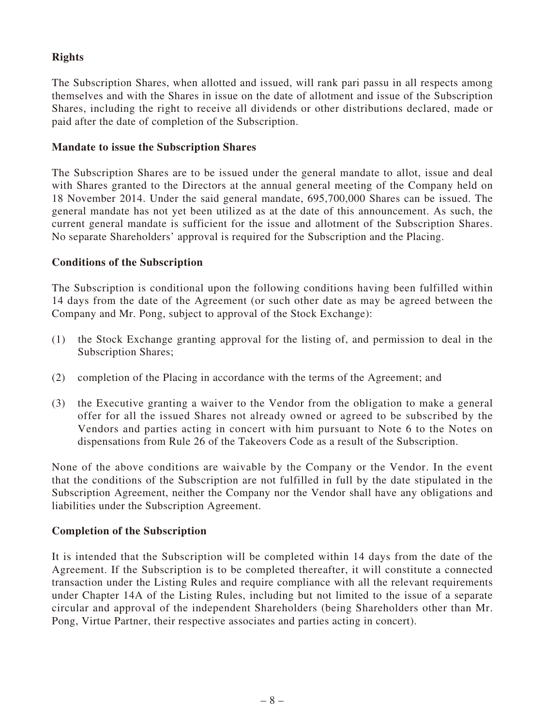## **Rights**

The Subscription Shares, when allotted and issued, will rank pari passu in all respects among themselves and with the Shares in issue on the date of allotment and issue of the Subscription Shares, including the right to receive all dividends or other distributions declared, made or paid after the date of completion of the Subscription.

#### **Mandate to issue the Subscription Shares**

The Subscription Shares are to be issued under the general mandate to allot, issue and deal with Shares granted to the Directors at the annual general meeting of the Company held on 18 November 2014. Under the said general mandate, 695,700,000 Shares can be issued. The general mandate has not yet been utilized as at the date of this announcement. As such, the current general mandate is sufficient for the issue and allotment of the Subscription Shares. No separate Shareholders' approval is required for the Subscription and the Placing.

#### **Conditions of the Subscription**

The Subscription is conditional upon the following conditions having been fulfilled within 14 days from the date of the Agreement (or such other date as may be agreed between the Company and Mr. Pong, subject to approval of the Stock Exchange):

- (1) the Stock Exchange granting approval for the listing of, and permission to deal in the Subscription Shares;
- (2) completion of the Placing in accordance with the terms of the Agreement; and
- (3) the Executive granting a waiver to the Vendor from the obligation to make a general offer for all the issued Shares not already owned or agreed to be subscribed by the Vendors and parties acting in concert with him pursuant to Note 6 to the Notes on dispensations from Rule 26 of the Takeovers Code as a result of the Subscription.

None of the above conditions are waivable by the Company or the Vendor. In the event that the conditions of the Subscription are not fulfilled in full by the date stipulated in the Subscription Agreement, neither the Company nor the Vendor shall have any obligations and liabilities under the Subscription Agreement.

## **Completion of the Subscription**

It is intended that the Subscription will be completed within 14 days from the date of the Agreement. If the Subscription is to be completed thereafter, it will constitute a connected transaction under the Listing Rules and require compliance with all the relevant requirements under Chapter 14A of the Listing Rules, including but not limited to the issue of a separate circular and approval of the independent Shareholders (being Shareholders other than Mr. Pong, Virtue Partner, their respective associates and parties acting in concert).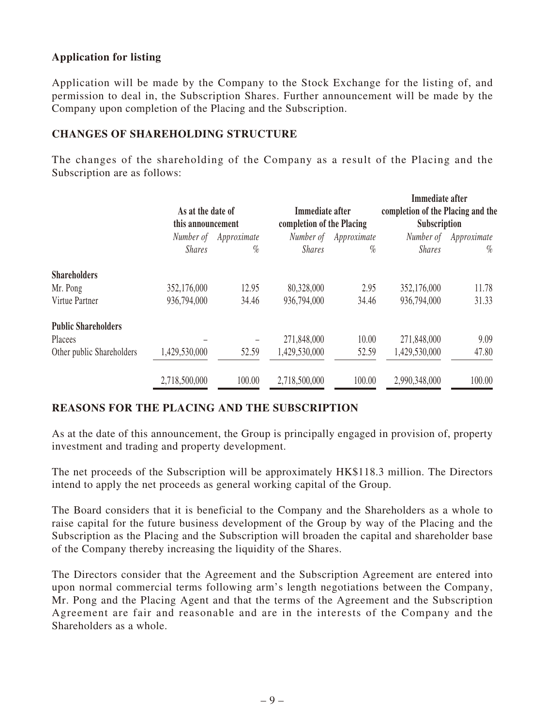## **Application for listing**

Application will be made by the Company to the Stock Exchange for the listing of, and permission to deal in, the Subscription Shares. Further announcement will be made by the Company upon completion of the Placing and the Subscription.

## **CHANGES OF SHAREHOLDING STRUCTURE**

The changes of the shareholding of the Company as a result of the Placing and the Subscription are as follows:

|                            |                                        |             |                                              |             | Immediate after                                   |             |
|----------------------------|----------------------------------------|-------------|----------------------------------------------|-------------|---------------------------------------------------|-------------|
|                            | As at the date of<br>this announcement |             | Immediate after<br>completion of the Placing |             | completion of the Placing and the<br>Subscription |             |
|                            |                                        |             |                                              |             |                                                   |             |
|                            | Number of                              | Approximate | Number of                                    | Approximate | Number of                                         | Approximate |
|                            | <b>Shares</b>                          | $\%$        | <b>Shares</b>                                | $\%$        | <b>Shares</b>                                     | $\%$        |
| <b>Shareholders</b>        |                                        |             |                                              |             |                                                   |             |
| Mr. Pong                   | 352,176,000                            | 12.95       | 80,328,000                                   | 2.95        | 352,176,000                                       | 11.78       |
| Virtue Partner             | 936,794,000                            | 34.46       | 936,794,000                                  | 34.46       | 936,794,000                                       | 31.33       |
| <b>Public Shareholders</b> |                                        |             |                                              |             |                                                   |             |
| Placees                    |                                        |             | 271,848,000                                  | 10.00       | 271,848,000                                       | 9.09        |
| Other public Shareholders  | 1,429,530,000                          | 52.59       | 1,429,530,000                                | 52.59       | 1,429,530,000                                     | 47.80       |
|                            | 2,718,500,000                          | 100.00      | 2,718,500,000                                | 100.00      | 2,990,348,000                                     | 100.00      |

## **REASONS FOR THE PLACING AND THE SUBSCRIPTION**

As at the date of this announcement, the Group is principally engaged in provision of, property investment and trading and property development.

The net proceeds of the Subscription will be approximately HK\$118.3 million. The Directors intend to apply the net proceeds as general working capital of the Group.

The Board considers that it is beneficial to the Company and the Shareholders as a whole to raise capital for the future business development of the Group by way of the Placing and the Subscription as the Placing and the Subscription will broaden the capital and shareholder base of the Company thereby increasing the liquidity of the Shares.

The Directors consider that the Agreement and the Subscription Agreement are entered into upon normal commercial terms following arm's length negotiations between the Company, Mr. Pong and the Placing Agent and that the terms of the Agreement and the Subscription Agreement are fair and reasonable and are in the interests of the Company and the Shareholders as a whole.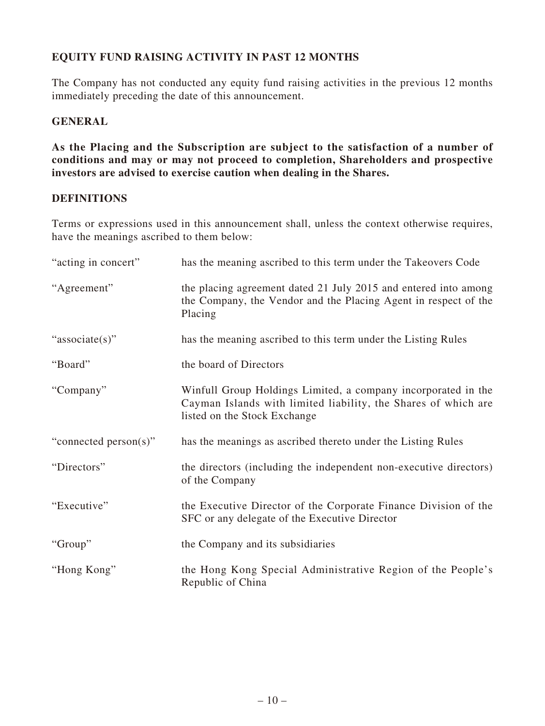## **EQUITY FUND RAISING ACTIVITY IN PAST 12 MONTHS**

The Company has not conducted any equity fund raising activities in the previous 12 months immediately preceding the date of this announcement.

## **GENERAL**

**As the Placing and the Subscription are subject to the satisfaction of a number of conditions and may or may not proceed to completion, Shareholders and prospective investors are advised to exercise caution when dealing in the Shares.**

## **DEFINITIONS**

Terms or expressions used in this announcement shall, unless the context otherwise requires, have the meanings ascribed to them below:

| "acting in concert"   | has the meaning ascribed to this term under the Takeovers Code                                                                                                  |
|-----------------------|-----------------------------------------------------------------------------------------------------------------------------------------------------------------|
| "Agreement"           | the placing agreement dated 21 July 2015 and entered into among<br>the Company, the Vendor and the Placing Agent in respect of the<br>Placing                   |
| "associate(s)"        | has the meaning ascribed to this term under the Listing Rules                                                                                                   |
| "Board"               | the board of Directors                                                                                                                                          |
| "Company"             | Winfull Group Holdings Limited, a company incorporated in the<br>Cayman Islands with limited liability, the Shares of which are<br>listed on the Stock Exchange |
| "connected person(s)" | has the meanings as ascribed thereto under the Listing Rules                                                                                                    |
| "Directors"           | the directors (including the independent non-executive directors)<br>of the Company                                                                             |
| "Executive"           | the Executive Director of the Corporate Finance Division of the<br>SFC or any delegate of the Executive Director                                                |
| "Group"               | the Company and its subsidiaries                                                                                                                                |
| "Hong Kong"           | the Hong Kong Special Administrative Region of the People's<br>Republic of China                                                                                |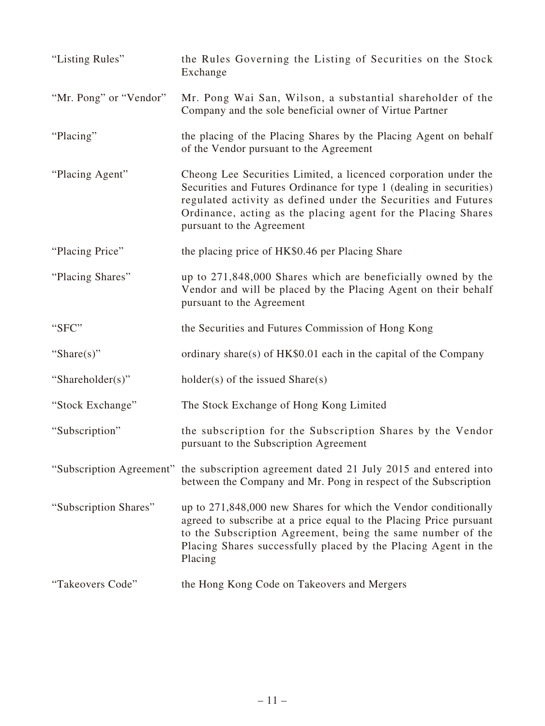| "Listing Rules"        | the Rules Governing the Listing of Securities on the Stock<br>Exchange                                                                                                                                                                                                                                 |
|------------------------|--------------------------------------------------------------------------------------------------------------------------------------------------------------------------------------------------------------------------------------------------------------------------------------------------------|
| "Mr. Pong" or "Vendor" | Mr. Pong Wai San, Wilson, a substantial shareholder of the<br>Company and the sole beneficial owner of Virtue Partner                                                                                                                                                                                  |
| "Placing"              | the placing of the Placing Shares by the Placing Agent on behalf<br>of the Vendor pursuant to the Agreement                                                                                                                                                                                            |
| "Placing Agent"        | Cheong Lee Securities Limited, a licenced corporation under the<br>Securities and Futures Ordinance for type 1 (dealing in securities)<br>regulated activity as defined under the Securities and Futures<br>Ordinance, acting as the placing agent for the Placing Shares<br>pursuant to the Agreement |
| "Placing Price"        | the placing price of HK\$0.46 per Placing Share                                                                                                                                                                                                                                                        |
| "Placing Shares"       | up to 271,848,000 Shares which are beneficially owned by the<br>Vendor and will be placed by the Placing Agent on their behalf<br>pursuant to the Agreement                                                                                                                                            |
| "SFC"                  | the Securities and Futures Commission of Hong Kong                                                                                                                                                                                                                                                     |
| "Share $(s)$ "         | ordinary share(s) of HK\$0.01 each in the capital of the Company                                                                                                                                                                                                                                       |
| "Shareholder(s)"       | $holder(s)$ of the issued $Share(s)$                                                                                                                                                                                                                                                                   |
| "Stock Exchange"       | The Stock Exchange of Hong Kong Limited                                                                                                                                                                                                                                                                |
| "Subscription"         | the subscription for the Subscription Shares by the Vendor<br>pursuant to the Subscription Agreement                                                                                                                                                                                                   |
|                        | "Subscription Agreement" the subscription agreement dated 21 July 2015 and entered into<br>between the Company and Mr. Pong in respect of the Subscription                                                                                                                                             |
| "Subscription Shares"  | up to 271,848,000 new Shares for which the Vendor conditionally<br>agreed to subscribe at a price equal to the Placing Price pursuant<br>to the Subscription Agreement, being the same number of the<br>Placing Shares successfully placed by the Placing Agent in the<br>Placing                      |
| "Takeovers Code"       | the Hong Kong Code on Takeovers and Mergers                                                                                                                                                                                                                                                            |